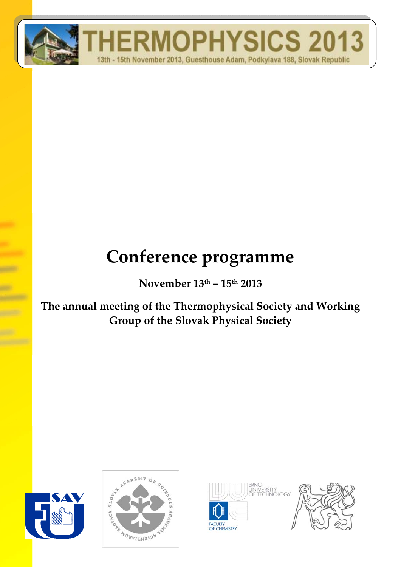

# **Conference programme**

**November 13th – 15th 2013**

**The annual meeting of the Thermophysical Society and Working Group of the Slovak Physical Society**







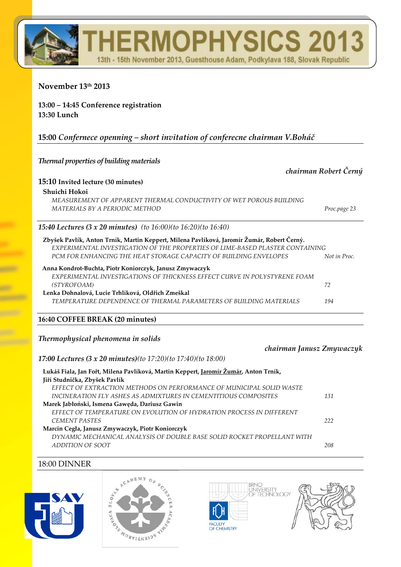# **RMOPHYSICS 20** 13th - 15th November 2013, Guesthouse Adam, Podkylava 188, Slovak Republic

### **November 13th 2013**

### **13:00 – 14:45 Conference registration 13:30 Lunch**

## **15:00** *Confernece openning – short invitation of conferecne chairman V.Boháč*

#### *Thermal properties of building materials*

| 15:10 Invited lecture (30 minutes)<br>Shuichi Hokoi<br>MEASUREMENT OF APPARENT THERMAL CONDUCTIVITY OF WET POROUS BUILDING |
|----------------------------------------------------------------------------------------------------------------------------|
|                                                                                                                            |
|                                                                                                                            |
|                                                                                                                            |
| MATERIALS BY A PERIODIC METHOD<br>Proc.page 23                                                                             |
| <b>15:40 Lectures (3 x 20 minutes)</b> (to $16:00$ )(to $16:20$ )(to $16:40$ )                                             |
| Zbyšek Pavlík, Anton Trník, Martin Keppert, Milena Pavlíková, Jaromír Žumár, Robert Černý.                                 |
| EXPERIMENTAL INVESTIGATION OF THE PROPERTIES OF LIME-BASED PLASTER CONTAINING                                              |
| PCM FOR ENHANCING THE HEAT STORAGE CAPACITY OF BUILDING ENVELOPES<br>Not in Proc.                                          |
| Anna Kondrot-Buchta, Piotr Koniorczyk, Janusz Zmywaczyk                                                                    |
| EXPERIMENTAL INVESTIGATIONS OF THICKNESS EFFECT CURVE IN POLYSTYRENE FOAM                                                  |
| (STYROFOAM)<br>72                                                                                                          |
| Lenka Dohnalová, Lucie Trhlíková, Oldřich Zmeškal                                                                          |
| TEMPERATURE DEPENDENCE OF THERMAL PARAMETERS OF BUILDING MATERIALS<br>194                                                  |

#### **16:40 COFFEE BREAK (20 minutes)**

#### *Thermophysical phenomena in solids*

#### *chairman Janusz Zmywaczyk*

#### *17:00 Lectures (3 x 20 minutes)(to 17:20)(to 17:40)(to 18:00)*

| Lukáš Fiala, Jan Fořt, Milena Pavlíková, Martin Keppert, Jaromír Žumár, Anton Trník, |     |
|--------------------------------------------------------------------------------------|-----|
| Jiří Studnička, Zbyšek Pavlík                                                        |     |
| EFFECT OF EXTRACTION METHODS ON PERFORMANCE OF MUNICIPAL SOLID WASTE                 |     |
| INCINERATION FLY ASHES AS ADMIXTURES IN CEMENTITIOUS COMPOSITES                      | 131 |
| Marek Jabłoński, Ismena Gaweda, Dariusz Gawin                                        |     |
| EFFECT OF TEMPERATURE ON EVOLUTION OF HYDRATION PROCESS IN DIFFERENT                 |     |
| <b>CEMENT PASTES</b>                                                                 | 222 |
| Marcin Cegła, Janusz Zmywaczyk, Piotr Koniorczyk                                     |     |
| DYNAMIC MECHANICAL ANALYSIS OF DOUBLE BASE SOLID ROCKET PROPELLANT WITH              |     |
| ADDITION OF SOOT                                                                     | 208 |
|                                                                                      |     |

#### 18:00 DINNER